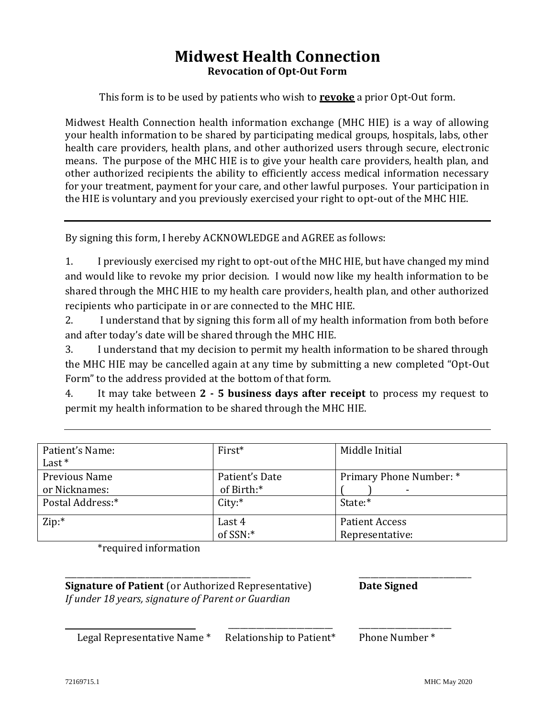## **Midwest Health Connection Revocation of Opt-Out Form**

This form is to be used by patients who wish to **revoke** a prior Opt-Out form.

Midwest Health Connection health information exchange (MHC HIE) is a way of allowing your health information to be shared by participating medical groups, hospitals, labs, other health care providers, health plans, and other authorized users through secure, electronic means. The purpose of the MHC HIE is to give your health care providers, health plan, and other authorized recipients the ability to efficiently access medical information necessary for your treatment, payment for your care, and other lawful purposes. Your participation in the HIE is voluntary and you previously exercised your right to opt-out of the MHC HIE.

By signing this form, I hereby ACKNOWLEDGE and AGREE as follows:

1. I previously exercised my right to opt-out of the MHC HIE, but have changed my mind and would like to revoke my prior decision. I would now like my health information to be shared through the MHC HIE to my health care providers, health plan, and other authorized recipients who participate in or are connected to the MHC HIE.

2. I understand that by signing this form all of my health information from both before and after today's date will be shared through the MHC HIE.

3. I understand that my decision to permit my health information to be shared through the MHC HIE may be cancelled again at any time by submitting a new completed "Opt-Out Form" to the address provided at the bottom of that form.

4. It may take between **2 - 5 business days after receipt** to process my request to permit my health information to be shared through the MHC HIE.

| Patient's Name:<br>Last $*$    | $First*$                     | Middle Initial                           |
|--------------------------------|------------------------------|------------------------------------------|
| Previous Name<br>or Nicknames: | Patient's Date<br>of Birth:* | Primary Phone Number: *                  |
| Postal Address:*               | City:                        | State:*                                  |
| Zip:                           | Last 4<br>of SSN:*           | <b>Patient Access</b><br>Representative: |

\_\_\_\_\_\_\_\_\_\_\_\_\_\_\_\_\_\_\_\_\_\_\_\_\_\_\_\_\_\_\_\_\_\_\_\_\_\_\_\_\_\_\_\_\_\_ \_\_\_\_\_\_\_\_\_\_\_\_\_\_\_\_\_\_\_\_\_\_\_\_\_\_\_\_

\*required information

**Signature of Patient** (or Authorized Representative) **Date Signed** *If under 18 years, signature of Parent or Guardian*

\_\_\_\_\_\_\_\_\_\_\_\_\_\_\_\_\_\_\_\_\_\_\_\_\_\_ \_\_\_\_\_\_\_\_\_\_\_\_\_\_\_\_\_\_\_\_\_\_\_

Legal Representative Name \* Relationship to Patient\* Phone Number \*